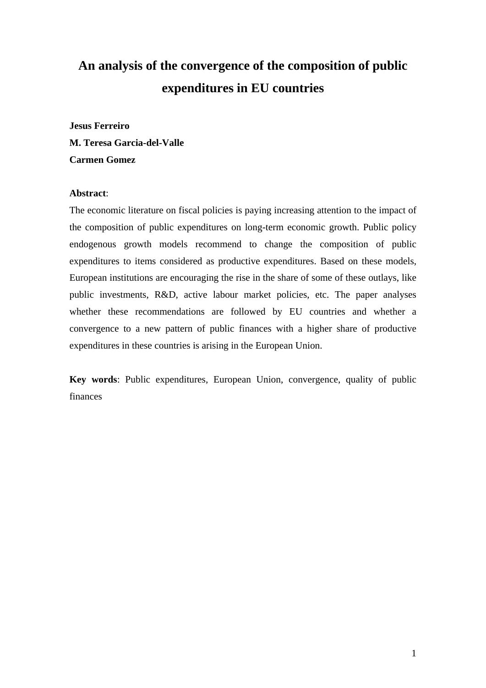# **An analysis of the convergence of the composition of public expenditures in EU countries**

**Jesus Ferreiro M. Teresa Garcia-del-Valle Carmen Gomez** 

#### **Abstract**:

The economic literature on fiscal policies is paying increasing attention to the impact of the composition of public expenditures on long-term economic growth. Public policy endogenous growth models recommend to change the composition of public expenditures to items considered as productive expenditures. Based on these models, European institutions are encouraging the rise in the share of some of these outlays, like public investments, R&D, active labour market policies, etc. The paper analyses whether these recommendations are followed by EU countries and whether a convergence to a new pattern of public finances with a higher share of productive expenditures in these countries is arising in the European Union.

**Key words**: Public expenditures, European Union, convergence, quality of public finances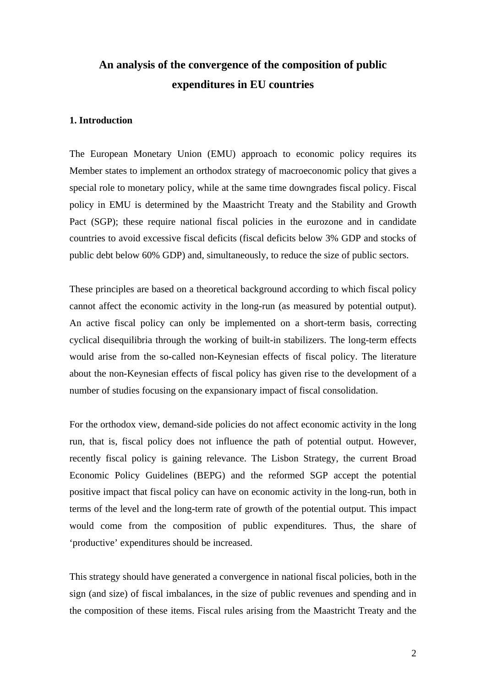# **An analysis of the convergence of the composition of public expenditures in EU countries**

#### **1. Introduction**

The European Monetary Union (EMU) approach to economic policy requires its Member states to implement an orthodox strategy of macroeconomic policy that gives a special role to monetary policy, while at the same time downgrades fiscal policy. Fiscal policy in EMU is determined by the Maastricht Treaty and the Stability and Growth Pact (SGP); these require national fiscal policies in the eurozone and in candidate countries to avoid excessive fiscal deficits (fiscal deficits below 3% GDP and stocks of public debt below 60% GDP) and, simultaneously, to reduce the size of public sectors.

These principles are based on a theoretical background according to which fiscal policy cannot affect the economic activity in the long-run (as measured by potential output). An active fiscal policy can only be implemented on a short-term basis, correcting cyclical disequilibria through the working of built-in stabilizers. The long-term effects would arise from the so-called non-Keynesian effects of fiscal policy. The literature about the non-Keynesian effects of fiscal policy has given rise to the development of a number of studies focusing on the expansionary impact of fiscal consolidation.

For the orthodox view, demand-side policies do not affect economic activity in the long run, that is, fiscal policy does not influence the path of potential output. However, recently fiscal policy is gaining relevance. The Lisbon Strategy, the current Broad Economic Policy Guidelines (BEPG) and the reformed SGP accept the potential positive impact that fiscal policy can have on economic activity in the long-run, both in terms of the level and the long-term rate of growth of the potential output. This impact would come from the composition of public expenditures. Thus, the share of 'productive' expenditures should be increased.

This strategy should have generated a convergence in national fiscal policies, both in the sign (and size) of fiscal imbalances, in the size of public revenues and spending and in the composition of these items. Fiscal rules arising from the Maastricht Treaty and the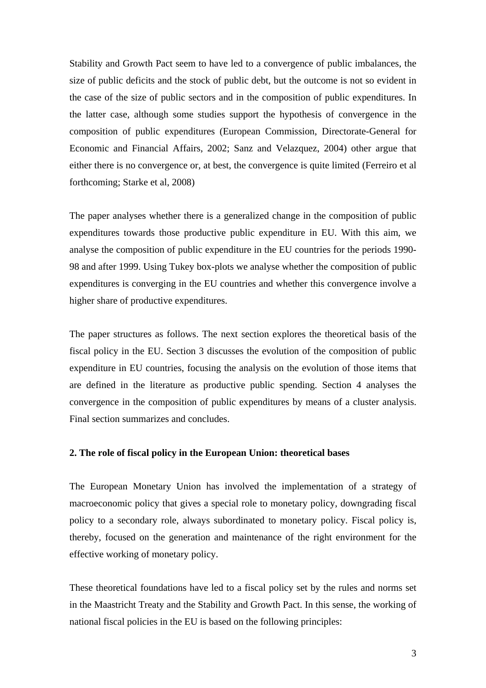Stability and Growth Pact seem to have led to a convergence of public imbalances, the size of public deficits and the stock of public debt, but the outcome is not so evident in the case of the size of public sectors and in the composition of public expenditures. In the latter case, although some studies support the hypothesis of convergence in the composition of public expenditures (European Commission, Directorate-General for Economic and Financial Affairs, 2002; Sanz and Velazquez, 2004) other argue that either there is no convergence or, at best, the convergence is quite limited (Ferreiro et al forthcoming; Starke et al, 2008)

The paper analyses whether there is a generalized change in the composition of public expenditures towards those productive public expenditure in EU. With this aim, we analyse the composition of public expenditure in the EU countries for the periods 1990- 98 and after 1999. Using Tukey box-plots we analyse whether the composition of public expenditures is converging in the EU countries and whether this convergence involve a higher share of productive expenditures.

The paper structures as follows. The next section explores the theoretical basis of the fiscal policy in the EU. Section 3 discusses the evolution of the composition of public expenditure in EU countries, focusing the analysis on the evolution of those items that are defined in the literature as productive public spending. Section 4 analyses the convergence in the composition of public expenditures by means of a cluster analysis. Final section summarizes and concludes.

#### **2. The role of fiscal policy in the European Union: theoretical bases**

The European Monetary Union has involved the implementation of a strategy of macroeconomic policy that gives a special role to monetary policy, downgrading fiscal policy to a secondary role, always subordinated to monetary policy. Fiscal policy is, thereby, focused on the generation and maintenance of the right environment for the effective working of monetary policy.

These theoretical foundations have led to a fiscal policy set by the rules and norms set in the Maastricht Treaty and the Stability and Growth Pact. In this sense, the working of national fiscal policies in the EU is based on the following principles: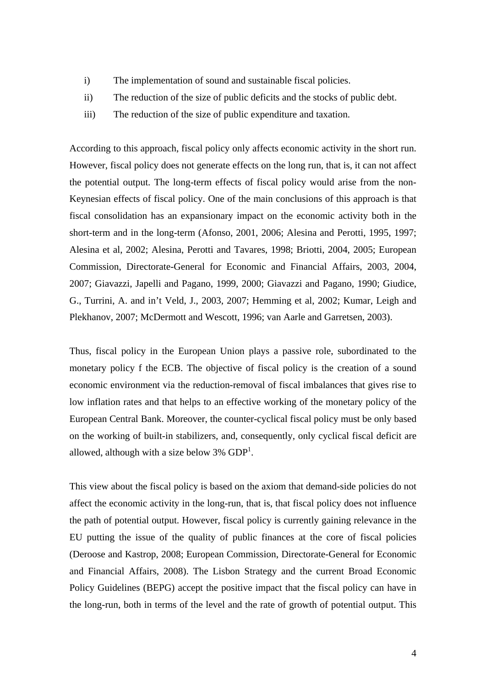- i) The implementation of sound and sustainable fiscal policies.
- ii) The reduction of the size of public deficits and the stocks of public debt.
- iii) The reduction of the size of public expenditure and taxation.

According to this approach, fiscal policy only affects economic activity in the short run. However, fiscal policy does not generate effects on the long run, that is, it can not affect the potential output. The long-term effects of fiscal policy would arise from the non-Keynesian effects of fiscal policy. One of the main conclusions of this approach is that fiscal consolidation has an expansionary impact on the economic activity both in the short-term and in the long-term (Afonso, 2001, 2006; Alesina and Perotti, 1995, 1997; Alesina et al, 2002; Alesina, Perotti and Tavares, 1998; Briotti, 2004, 2005; European Commission, Directorate-General for Economic and Financial Affairs, 2003, 2004, 2007; Giavazzi, Japelli and Pagano, 1999, 2000; Giavazzi and Pagano, 1990; Giudice, G., Turrini, A. and in't Veld, J., 2003, 2007; Hemming et al, 2002; Kumar, Leigh and Plekhanov, 2007; McDermott and Wescott, 1996; van Aarle and Garretsen, 2003).

Thus, fiscal policy in the European Union plays a passive role, subordinated to the monetary policy f the ECB. The objective of fiscal policy is the creation of a sound economic environment via the reduction-removal of fiscal imbalances that gives rise to low inflation rates and that helps to an effective working of the monetary policy of the European Central Bank. Moreover, the counter-cyclical fiscal policy must be only based on the working of built-in stabilizers, and, consequently, only cyclical fiscal deficit are allowed, although with a size below  $3\%$  GDP<sup>1</sup>.

This view about the fiscal policy is based on the axiom that demand-side policies do not affect the economic activity in the long-run, that is, that fiscal policy does not influence the path of potential output. However, fiscal policy is currently gaining relevance in the EU putting the issue of the quality of public finances at the core of fiscal policies (Deroose and Kastrop, 2008; European Commission, Directorate-General for Economic and Financial Affairs, 2008). The Lisbon Strategy and the current Broad Economic Policy Guidelines (BEPG) accept the positive impact that the fiscal policy can have in the long-run, both in terms of the level and the rate of growth of potential output. This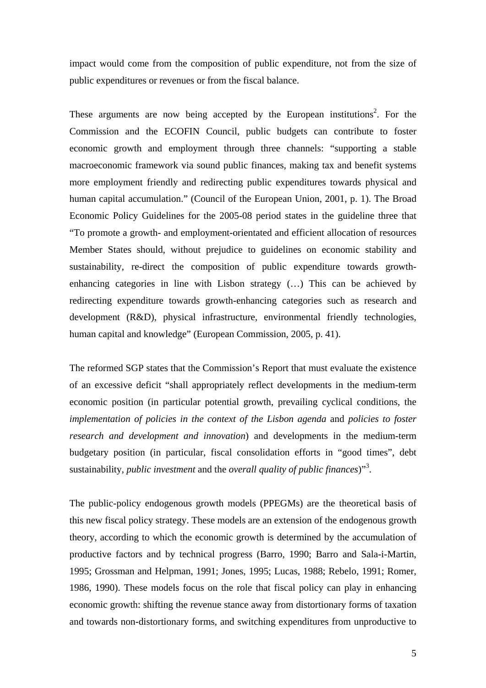impact would come from the composition of public expenditure, not from the size of public expenditures or revenues or from the fiscal balance.

These arguments are now being accepted by the European institutions<sup>2</sup>. For the Commission and the ECOFIN Council, public budgets can contribute to foster economic growth and employment through three channels: "supporting a stable macroeconomic framework via sound public finances, making tax and benefit systems more employment friendly and redirecting public expenditures towards physical and human capital accumulation." (Council of the European Union, 2001, p. 1). The Broad Economic Policy Guidelines for the 2005-08 period states in the guideline three that "To promote a growth- and employment-orientated and efficient allocation of resources Member States should, without prejudice to guidelines on economic stability and sustainability, re-direct the composition of public expenditure towards growthenhancing categories in line with Lisbon strategy (…) This can be achieved by redirecting expenditure towards growth-enhancing categories such as research and development (R&D), physical infrastructure, environmental friendly technologies, human capital and knowledge" (European Commission, 2005, p. 41).

The reformed SGP states that the Commission's Report that must evaluate the existence of an excessive deficit "shall appropriately reflect developments in the medium-term economic position (in particular potential growth, prevailing cyclical conditions, the *implementation of policies in the context of the Lisbon agenda* and *policies to foster research and development and innovation*) and developments in the medium-term budgetary position (in particular, fiscal consolidation efforts in "good times", debt sustainability, *public investment* and the *overall quality of public finances*)"<sup>3</sup> .

The public-policy endogenous growth models (PPEGMs) are the theoretical basis of this new fiscal policy strategy. These models are an extension of the endogenous growth theory, according to which the economic growth is determined by the accumulation of productive factors and by technical progress (Barro, 1990; Barro and Sala-i-Martin, 1995; Grossman and Helpman, 1991; Jones, 1995; Lucas, 1988; Rebelo, 1991; Romer, 1986, 1990). These models focus on the role that fiscal policy can play in enhancing economic growth: shifting the revenue stance away from distortionary forms of taxation and towards non-distortionary forms, and switching expenditures from unproductive to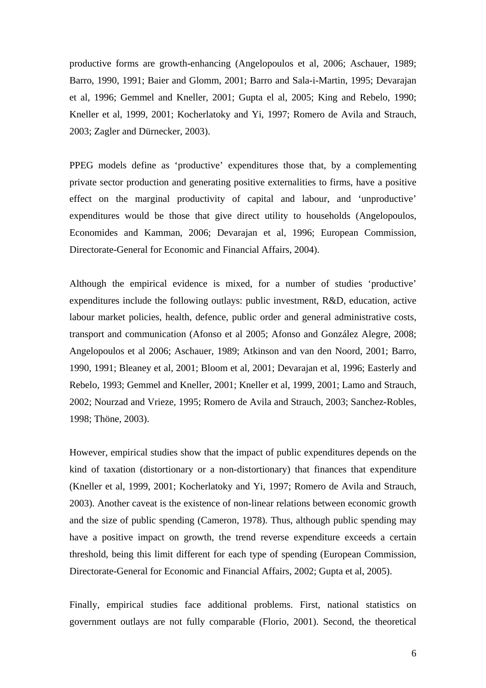productive forms are growth-enhancing (Angelopoulos et al, 2006; Aschauer, 1989; Barro, 1990, 1991; Baier and Glomm, 2001; Barro and Sala-i-Martin, 1995; Devarajan et al, 1996; Gemmel and Kneller, 2001; Gupta el al, 2005; King and Rebelo, 1990; Kneller et al, 1999, 2001; Kocherlatoky and Yi, 1997; Romero de Avila and Strauch, 2003; Zagler and Dürnecker, 2003).

PPEG models define as 'productive' expenditures those that, by a complementing private sector production and generating positive externalities to firms, have a positive effect on the marginal productivity of capital and labour, and 'unproductive' expenditures would be those that give direct utility to households (Angelopoulos, Economides and Kamman, 2006; Devarajan et al, 1996; European Commission, Directorate-General for Economic and Financial Affairs, 2004).

Although the empirical evidence is mixed, for a number of studies 'productive' expenditures include the following outlays: public investment, R&D, education, active labour market policies, health, defence, public order and general administrative costs, transport and communication (Afonso et al 2005; Afonso and González Alegre, 2008; Angelopoulos et al 2006; Aschauer, 1989; Atkinson and van den Noord, 2001; Barro, 1990, 1991; Bleaney et al, 2001; Bloom et al, 2001; Devarajan et al, 1996; Easterly and Rebelo, 1993; Gemmel and Kneller, 2001; Kneller et al, 1999, 2001; Lamo and Strauch, 2002; Nourzad and Vrieze, 1995; Romero de Avila and Strauch, 2003; Sanchez-Robles, 1998; Thöne, 2003).

However, empirical studies show that the impact of public expenditures depends on the kind of taxation (distortionary or a non-distortionary) that finances that expenditure (Kneller et al, 1999, 2001; Kocherlatoky and Yi, 1997; Romero de Avila and Strauch, 2003). Another caveat is the existence of non-linear relations between economic growth and the size of public spending (Cameron, 1978). Thus, although public spending may have a positive impact on growth, the trend reverse expenditure exceeds a certain threshold, being this limit different for each type of spending (European Commission, Directorate-General for Economic and Financial Affairs, 2002; Gupta et al, 2005).

Finally, empirical studies face additional problems. First, national statistics on government outlays are not fully comparable (Florio, 2001). Second, the theoretical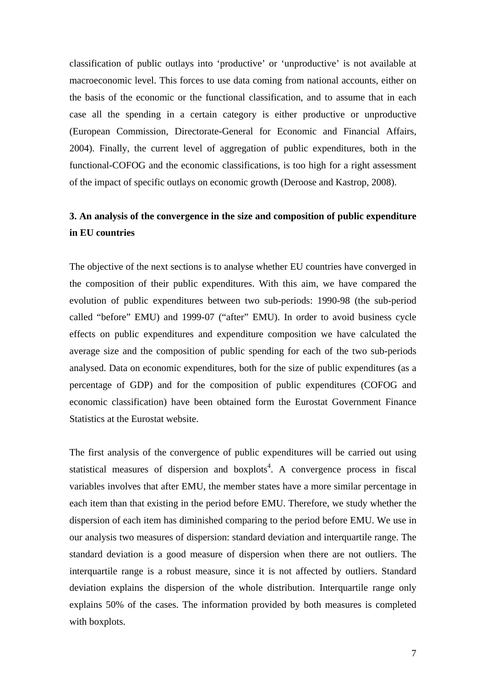classification of public outlays into 'productive' or 'unproductive' is not available at macroeconomic level. This forces to use data coming from national accounts, either on the basis of the economic or the functional classification, and to assume that in each case all the spending in a certain category is either productive or unproductive (European Commission, Directorate-General for Economic and Financial Affairs, 2004). Finally, the current level of aggregation of public expenditures, both in the functional-COFOG and the economic classifications, is too high for a right assessment of the impact of specific outlays on economic growth (Deroose and Kastrop, 2008).

### **3. An analysis of the convergence in the size and composition of public expenditure in EU countries**

The objective of the next sections is to analyse whether EU countries have converged in the composition of their public expenditures. With this aim, we have compared the evolution of public expenditures between two sub-periods: 1990-98 (the sub-period called "before" EMU) and 1999-07 ("after" EMU). In order to avoid business cycle effects on public expenditures and expenditure composition we have calculated the average size and the composition of public spending for each of the two sub-periods analysed. Data on economic expenditures, both for the size of public expenditures (as a percentage of GDP) and for the composition of public expenditures (COFOG and economic classification) have been obtained form the Eurostat Government Finance Statistics at the Eurostat website.

The first analysis of the convergence of public expenditures will be carried out using statistical measures of dispersion and boxplots<sup>4</sup>. A convergence process in fiscal variables involves that after EMU, the member states have a more similar percentage in each item than that existing in the period before EMU. Therefore, we study whether the dispersion of each item has diminished comparing to the period before EMU. We use in our analysis two measures of dispersion: standard deviation and interquartile range. The standard deviation is a good measure of dispersion when there are not outliers. The interquartile range is a robust measure, since it is not affected by outliers. Standard deviation explains the dispersion of the whole distribution. Interquartile range only explains 50% of the cases. The information provided by both measures is completed with boxplots.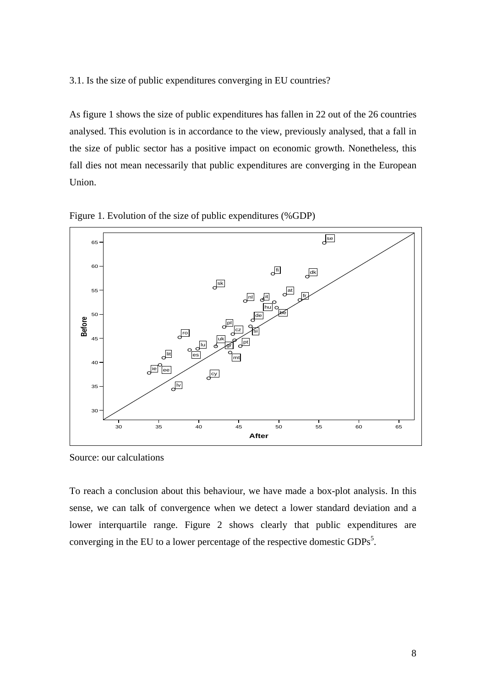3.1. Is the size of public expenditures converging in EU countries?

As figure 1 shows the size of public expenditures has fallen in 22 out of the 26 countries analysed. This evolution is in accordance to the view, previously analysed, that a fall in the size of public sector has a positive impact on economic growth. Nonetheless, this fall dies not mean necessarily that public expenditures are converging in the European Union.



Figure 1. Evolution of the size of public expenditures (%GDP)

Source: our calculations

To reach a conclusion about this behaviour, we have made a box-plot analysis. In this sense, we can talk of convergence when we detect a lower standard deviation and a lower interquartile range. Figure 2 shows clearly that public expenditures are converging in the EU to a lower percentage of the respective domestic GDPs<sup>5</sup>.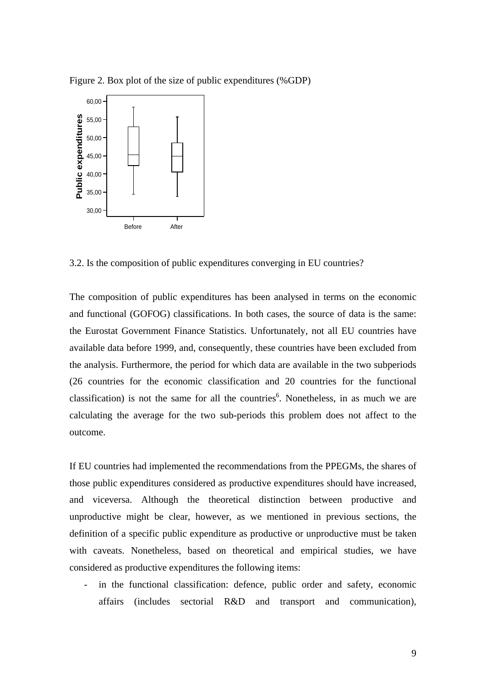

Figure 2. Box plot of the size of public expenditures (%GDP)

3.2. Is the composition of public expenditures converging in EU countries?

The composition of public expenditures has been analysed in terms on the economic and functional (GOFOG) classifications. In both cases, the source of data is the same: the Eurostat Government Finance Statistics. Unfortunately, not all EU countries have available data before 1999, and, consequently, these countries have been excluded from the analysis. Furthermore, the period for which data are available in the two subperiods (26 countries for the economic classification and 20 countries for the functional classification) is not the same for all the countries<sup>6</sup>. Nonetheless, in as much we are calculating the average for the two sub-periods this problem does not affect to the outcome.

If EU countries had implemented the recommendations from the PPEGMs, the shares of those public expenditures considered as productive expenditures should have increased, and viceversa. Although the theoretical distinction between productive and unproductive might be clear, however, as we mentioned in previous sections, the definition of a specific public expenditure as productive or unproductive must be taken with caveats. Nonetheless, based on theoretical and empirical studies, we have considered as productive expenditures the following items:

in the functional classification: defence, public order and safety, economic affairs (includes sectorial R&D and transport and communication),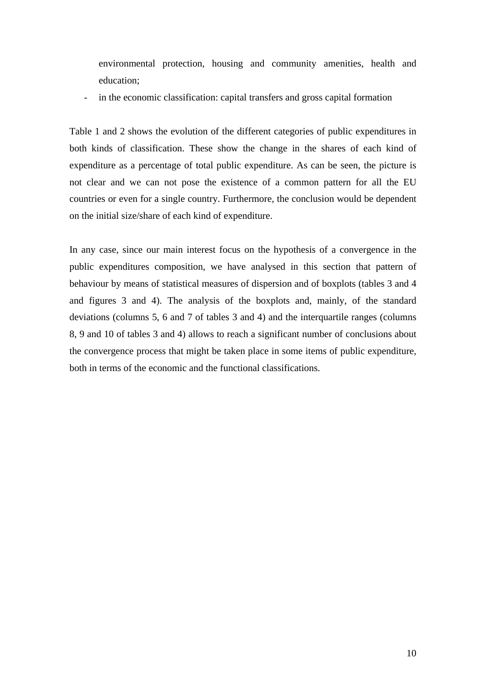environmental protection, housing and community amenities, health and education;

- in the economic classification: capital transfers and gross capital formation

Table 1 and 2 shows the evolution of the different categories of public expenditures in both kinds of classification. These show the change in the shares of each kind of expenditure as a percentage of total public expenditure. As can be seen, the picture is not clear and we can not pose the existence of a common pattern for all the EU countries or even for a single country. Furthermore, the conclusion would be dependent on the initial size/share of each kind of expenditure.

In any case, since our main interest focus on the hypothesis of a convergence in the public expenditures composition, we have analysed in this section that pattern of behaviour by means of statistical measures of dispersion and of boxplots (tables 3 and 4 and figures 3 and 4). The analysis of the boxplots and, mainly, of the standard deviations (columns 5, 6 and 7 of tables 3 and 4) and the interquartile ranges (columns 8, 9 and 10 of tables 3 and 4) allows to reach a significant number of conclusions about the convergence process that might be taken place in some items of public expenditure, both in terms of the economic and the functional classifications.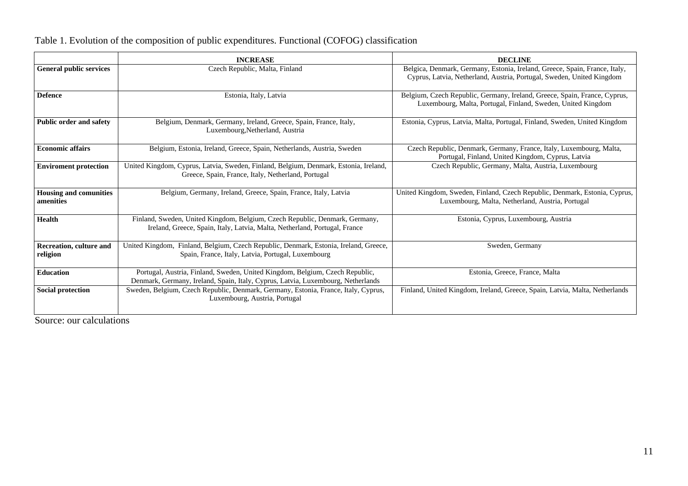| Table 1. Evolution of the composition of public expenditures. Functional (COFOG) classification |  |  |  |
|-------------------------------------------------------------------------------------------------|--|--|--|
|-------------------------------------------------------------------------------------------------|--|--|--|

|                                     | <b>INCREASE</b>                                                                                                                                                  | <b>DECLINE</b>                                                                                                                                      |
|-------------------------------------|------------------------------------------------------------------------------------------------------------------------------------------------------------------|-----------------------------------------------------------------------------------------------------------------------------------------------------|
| <b>General public services</b>      | Czech Republic, Malta, Finland                                                                                                                                   | Belgica, Denmark, Germany, Estonia, Ireland, Greece, Spain, France, Italy,<br>Cyprus, Latvia, Netherland, Austria, Portugal, Sweden, United Kingdom |
| <b>Defence</b>                      | Estonia, Italy, Latvia                                                                                                                                           | Belgium, Czech Republic, Germany, Ireland, Greece, Spain, France, Cyprus,<br>Luxembourg, Malta, Portugal, Finland, Sweden, United Kingdom           |
| Public order and safety             | Belgium, Denmark, Germany, Ireland, Greece, Spain, France, Italy,<br>Luxembourg, Netherland, Austria                                                             | Estonia, Cyprus, Latvia, Malta, Portugal, Finland, Sweden, United Kingdom                                                                           |
| <b>Economic affairs</b>             | Belgium, Estonia, Ireland, Greece, Spain, Netherlands, Austria, Sweden                                                                                           | Czech Republic, Denmark, Germany, France, Italy, Luxembourg, Malta,<br>Portugal, Finland, United Kingdom, Cyprus, Latvia                            |
| <b>Enviroment protection</b>        | United Kingdom, Cyprus, Latvia, Sweden, Finland, Belgium, Denmark, Estonia, Ireland,<br>Greece, Spain, France, Italy, Netherland, Portugal                       | Czech Republic, Germany, Malta, Austria, Luxembourg                                                                                                 |
| Housing and comunities<br>amenities | Belgium, Germany, Ireland, Greece, Spain, France, Italy, Latvia                                                                                                  | United Kingdom, Sweden, Finland, Czech Republic, Denmark, Estonia, Cyprus,<br>Luxembourg, Malta, Netherland, Austria, Portugal                      |
| Health                              | Finland, Sweden, United Kingdom, Belgium, Czech Republic, Denmark, Germany,<br>Ireland, Greece, Spain, Italy, Latvia, Malta, Netherland, Portugal, France        | Estonia, Cyprus, Luxembourg, Austria                                                                                                                |
| Recreation, culture and<br>religion | United Kingdom, Finland, Belgium, Czech Republic, Denmark, Estonia, Ireland, Greece,<br>Spain, France, Italy, Latvia, Portugal, Luxembourg                       | Sweden, Germany                                                                                                                                     |
| <b>Education</b>                    | Portugal, Austria, Finland, Sweden, United Kingdom, Belgium, Czech Republic,<br>Denmark, Germany, Ireland, Spain, Italy, Cyprus, Latvia, Luxembourg, Netherlands | Estonia, Greece, France, Malta                                                                                                                      |
| <b>Social protection</b>            | Sweden, Belgium, Czech Republic, Denmark, Germany, Estonia, France, Italy, Cyprus,<br>Luxembourg, Austria, Portugal                                              | Finland, United Kingdom, Ireland, Greece, Spain, Latvia, Malta, Netherlands                                                                         |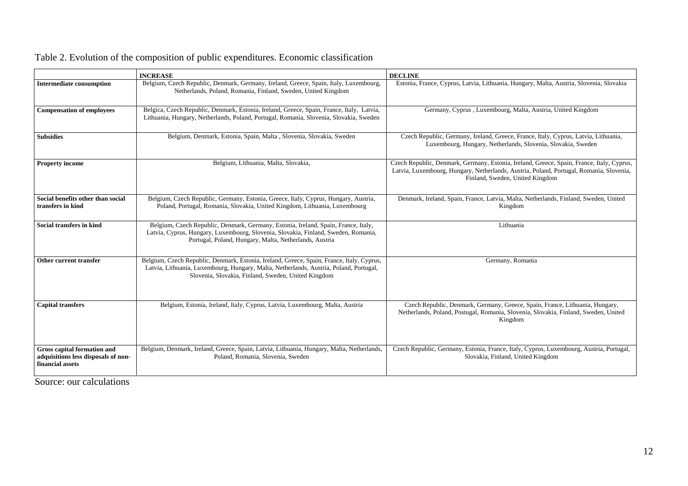|                                                                                        | <b>INCREASE</b>                                                                                                                                                                                                                            | <b>DECLINE</b>                                                                                                                                                                                                          |
|----------------------------------------------------------------------------------------|--------------------------------------------------------------------------------------------------------------------------------------------------------------------------------------------------------------------------------------------|-------------------------------------------------------------------------------------------------------------------------------------------------------------------------------------------------------------------------|
| <b>Intermediate consumption</b>                                                        | Belgium, Czech Republic, Denmark, Germany, Ireland, Greece, Spain, Italy, Luxembourg,<br>Netherlands, Poland, Romania, Finland, Sweden, United Kingdom                                                                                     | Estonia, France, Cyprus, Latvia, Lithuania, Hungary, Malta, Austria, Slovenia, Slovakia                                                                                                                                 |
| <b>Compensation of employees</b>                                                       | Belgica, Czech Republic, Denmark, Estonia, Ireland, Greece, Spain, France, Italy, Latvia,<br>Lithuania, Hungary, Netherlands, Poland, Portugal, Romania, Slovenia, Slovakia, Sweden                                                        | Germany, Cyprus, Luxembourg, Malta, Austria, United Kingdom                                                                                                                                                             |
| <b>Subsidies</b>                                                                       | Belgium, Denmark, Estonia, Spain, Malta, Slovenia, Slovakia, Sweden                                                                                                                                                                        | Czech Republic, Germany, Ireland, Greece, France, Italy, Cyprus, Latvia, Lithuania,<br>Luxembourg, Hungary, Netherlands, Slovenia, Slovakia, Sweden                                                                     |
| <b>Property income</b>                                                                 | Belgium, Lithuania, Malta, Slovakia,                                                                                                                                                                                                       | Czech Republic, Denmark, Germany, Estonia, Ireland, Greece, Spain, France, Italy, Cyprus,<br>Latvia, Luxembourg, Hungary, Netherlands, Austria, Poland, Portugal, Romania, Slovenia,<br>Finland, Sweden, United Kingdom |
| Social benefits other than social<br>transfers in kind                                 | Belgium, Czech Republic, Germany, Estonia, Greece, Italy, Cyprus, Hungary, Austria,<br>Poland, Portugal, Romania, Slovakia, United Kingdom, Lithuania, Luxembourg                                                                          | Denmark, Ireland, Spain, France, Latvia, Malta, Netherlands, Finland, Sweden, United<br>Kingdom                                                                                                                         |
| Social transfers in kind                                                               | Belgium, Czech Republic, Denmark, Germany, Estonia, Ireland, Spain, France, Italy,<br>Latvia, Cyprus, Hungary, Luxembourg, Slovenia, Slovakia, Finland, Sweden, Romania,<br>Portugal, Poland, Hungary, Malta, Netherlands, Austria         | Lithuania                                                                                                                                                                                                               |
| Other current transfer                                                                 | Belgium, Czech Republic, Denmark, Estonia, Ireland, Greece, Spain, France, Italy, Cyprus,<br>Latvia, Lithuania, Luxembourg, Hungary, Malta, Netherlands, Austria, Poland, Portugal,<br>Slovenia, Slovakia, Finland, Sweden, United Kingdom | Germany, Romania                                                                                                                                                                                                        |
| <b>Capital transfers</b>                                                               | Belgium, Estonia, Ireland, Italy, Cyprus, Latvia, Luxembourg, Malta, Austria                                                                                                                                                               | Czech Republic, Denmark, Germany, Greece, Spain, France, Lithuania, Hungary,<br>Netherlands, Poland, Postugal, Romania, Slovenia, Slovakia, Finland, Sweden, United<br>Kingdom                                          |
| Gross capital formation and<br>adquisitions less disposals of non-<br>financial assets | Belgium, Denmark, Ireland, Greece, Spain, Latvia, Lithuania, Hungary, Malta, Netherlands,<br>Poland, Romania, Slovenia, Sweden                                                                                                             | Czech Republic, Germany, Estonia, France, Italy, Cyprus, Luxembourg, Austria, Portugal,<br>Slovakia, Finland, United Kingdom                                                                                            |

# Table 2. Evolution of the composition of public expenditures. Economic classification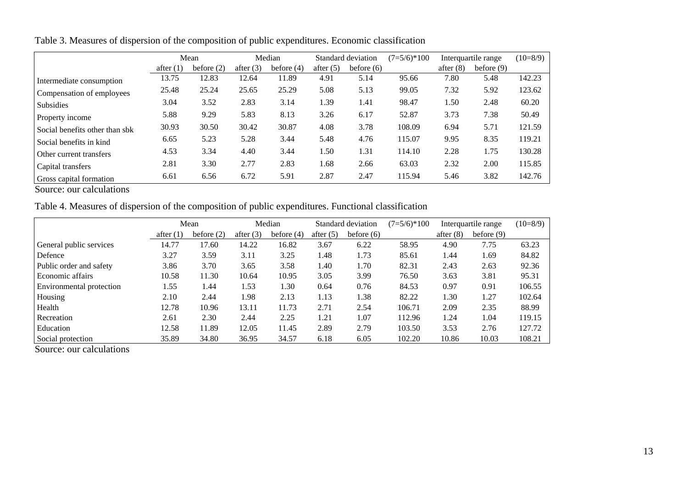|                                |             | Mean         |             | Median       |             | Standard deviation | $(7=5/6)*100$ |             | Interguartile range | $(10=8/9)$ |
|--------------------------------|-------------|--------------|-------------|--------------|-------------|--------------------|---------------|-------------|---------------------|------------|
|                                | after $(1)$ | before $(2)$ | after $(3)$ | before $(4)$ | after $(5)$ | before $(6)$       |               | after $(8)$ | before $(9)$        |            |
| Intermediate consumption       | 13.75       | 12.83        | 12.64       | 11.89        | 4.91        | 5.14               | 95.66         | 7.80        | 5.48                | 142.23     |
| Compensation of employees      | 25.48       | 25.24        | 25.65       | 25.29        | 5.08        | 5.13               | 99.05         | 7.32        | 5.92                | 123.62     |
| Subsidies                      | 3.04        | 3.52         | 2.83        | 3.14         | 1.39        | 1.41               | 98.47         | 1.50        | 2.48                | 60.20      |
| Property income                | 5.88        | 9.29         | 5.83        | 8.13         | 3.26        | 6.17               | 52.87         | 3.73        | 7.38                | 50.49      |
| Social benefits other than shk | 30.93       | 30.50        | 30.42       | 30.87        | 4.08        | 3.78               | 108.09        | 6.94        | 5.71                | 121.59     |
| Social benefits in kind        | 6.65        | 5.23         | 5.28        | 3.44         | 5.48        | 4.76               | 115.07        | 9.95        | 8.35                | 119.21     |
| Other current transfers        | 4.53        | 3.34         | 4.40        | 3.44         | 1.50        | 1.31               | 114.10        | 2.28        | 1.75                | 130.28     |
| Capital transfers              | 2.81        | 3.30         | 2.77        | 2.83         | 1.68        | 2.66               | 63.03         | 2.32        | 2.00                | 115.85     |
| Gross capital formation        | 6.61        | 6.56         | 6.72        | 5.91         | 2.87        | 2.47               | 115.94        | 5.46        | 3.82                | 142.76     |

Table 3. Measures of dispersion of the composition of public expenditures. Economic classification

Source: our calculations

Table 4. Measures of dispersion of the composition of public expenditures. Functional classification

|                          |             | Mean         |             | Median       |             | Standard deviation | $(7=5/6)*100$ |           | Interquartile range | $(10=8/9)$ |
|--------------------------|-------------|--------------|-------------|--------------|-------------|--------------------|---------------|-----------|---------------------|------------|
|                          | after $(1)$ | before $(2)$ | after $(3)$ | before $(4)$ | after $(5)$ | before $(6)$       |               | after (8) | before $(9)$        |            |
| General public services  | 14.77       | 17.60        | 14.22       | 16.82        | 3.67        | 6.22               | 58.95         | 4.90      | 7.75                | 63.23      |
| Defence                  | 3.27        | 3.59         | 3.11        | 3.25         | 1.48        | 1.73               | 85.61         | 1.44      | 1.69                | 84.82      |
| Public order and safety  | 3.86        | 3.70         | 3.65        | 3.58         | 1.40        | 1.70               | 82.31         | 2.43      | 2.63                | 92.36      |
| Economic affairs         | 10.58       | 11.30        | 10.64       | 10.95        | 3.05        | 3.99               | 76.50         | 3.63      | 3.81                | 95.31      |
| Environmental protection | 1.55        | 1.44         | 1.53        | 1.30         | 0.64        | 0.76               | 84.53         | 0.97      | 0.91                | 106.55     |
| Housing                  | 2.10        | 2.44         | 1.98        | 2.13         | 1.13        | 1.38               | 82.22         | 1.30      | 1.27                | 102.64     |
| Health                   | 12.78       | 10.96        | 13.11       | 11.73        | 2.71        | 2.54               | 106.71        | 2.09      | 2.35                | 88.99      |
| Recreation               | 2.61        | 2.30         | 2.44        | 2.25         | 1.21        | 1.07               | 112.96        | 1.24      | 1.04                | 119.15     |
| Education                | 12.58       | 11.89        | 12.05       | 11.45        | 2.89        | 2.79               | 103.50        | 3.53      | 2.76                | 127.72     |
| Social protection        | 35.89       | 34.80        | 36.95       | 34.57        | 6.18        | 6.05               | 102.20        | 10.86     | 10.03               | 108.21     |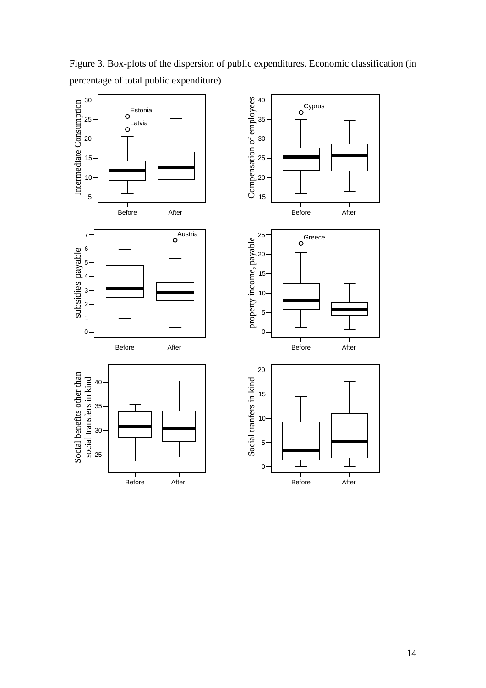

Figure 3. Box-plots of the dispersion of public expenditures. Economic classification (in percentage of total public expenditure)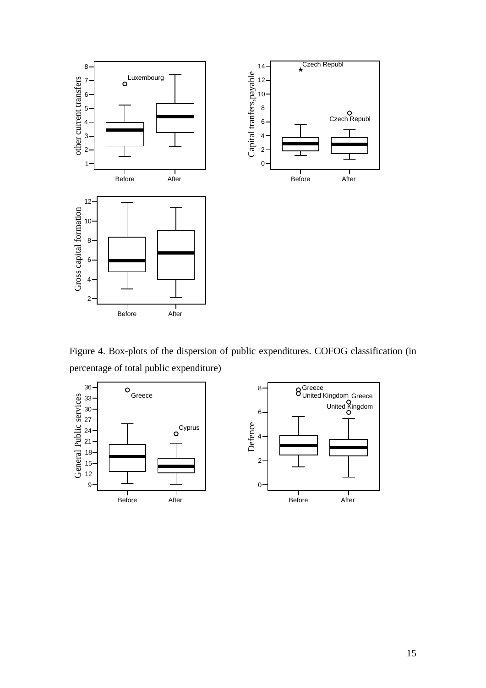

Figure 4. Box-plots of the dispersion of public expenditures. COFOG classification (in percentage of total public expenditure)

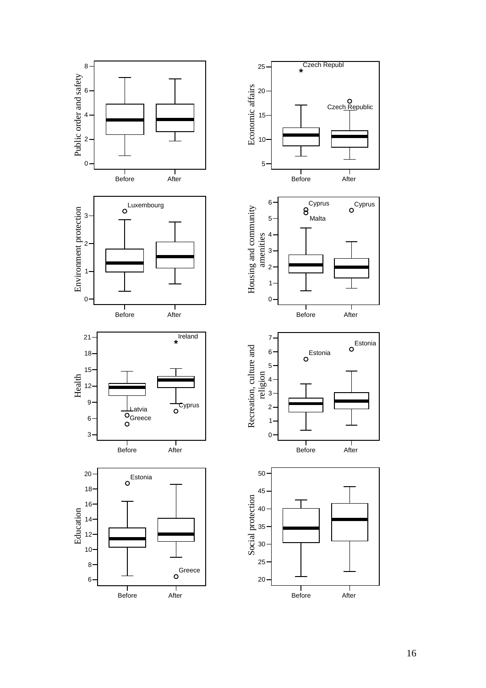

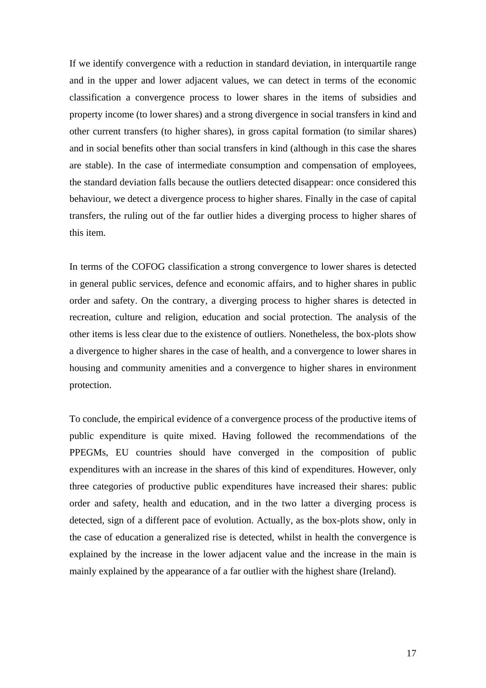If we identify convergence with a reduction in standard deviation, in interquartile range and in the upper and lower adjacent values, we can detect in terms of the economic classification a convergence process to lower shares in the items of subsidies and property income (to lower shares) and a strong divergence in social transfers in kind and other current transfers (to higher shares), in gross capital formation (to similar shares) and in social benefits other than social transfers in kind (although in this case the shares are stable). In the case of intermediate consumption and compensation of employees, the standard deviation falls because the outliers detected disappear: once considered this behaviour, we detect a divergence process to higher shares. Finally in the case of capital transfers, the ruling out of the far outlier hides a diverging process to higher shares of this item.

In terms of the COFOG classification a strong convergence to lower shares is detected in general public services, defence and economic affairs, and to higher shares in public order and safety. On the contrary, a diverging process to higher shares is detected in recreation, culture and religion, education and social protection. The analysis of the other items is less clear due to the existence of outliers. Nonetheless, the box-plots show a divergence to higher shares in the case of health, and a convergence to lower shares in housing and community amenities and a convergence to higher shares in environment protection.

To conclude, the empirical evidence of a convergence process of the productive items of public expenditure is quite mixed. Having followed the recommendations of the PPEGMs, EU countries should have converged in the composition of public expenditures with an increase in the shares of this kind of expenditures. However, only three categories of productive public expenditures have increased their shares: public order and safety, health and education, and in the two latter a diverging process is detected, sign of a different pace of evolution. Actually, as the box-plots show, only in the case of education a generalized rise is detected, whilst in health the convergence is explained by the increase in the lower adjacent value and the increase in the main is mainly explained by the appearance of a far outlier with the highest share (Ireland).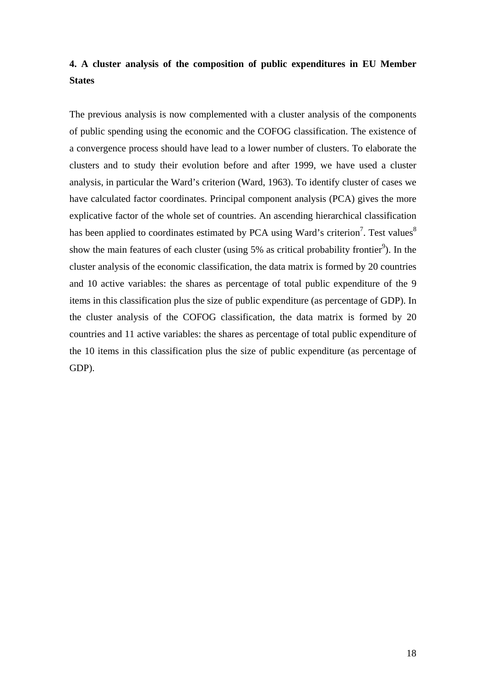## **4. A cluster analysis of the composition of public expenditures in EU Member States**

The previous analysis is now complemented with a cluster analysis of the components of public spending using the economic and the COFOG classification. The existence of a convergence process should have lead to a lower number of clusters. To elaborate the clusters and to study their evolution before and after 1999, we have used a cluster analysis, in particular the Ward's criterion (Ward, 1963). To identify cluster of cases we have calculated factor coordinates. Principal component analysis (PCA) gives the more explicative factor of the whole set of countries. An ascending hierarchical classification has been applied to coordinates estimated by PCA using Ward's criterion<sup>7</sup>. Test values<sup>8</sup> show the main features of each cluster (using  $5\%$  as critical probability frontier<sup>9</sup>). In the cluster analysis of the economic classification, the data matrix is formed by 20 countries and 10 active variables: the shares as percentage of total public expenditure of the 9 items in this classification plus the size of public expenditure (as percentage of GDP). In the cluster analysis of the COFOG classification, the data matrix is formed by 20 countries and 11 active variables: the shares as percentage of total public expenditure of the 10 items in this classification plus the size of public expenditure (as percentage of GDP).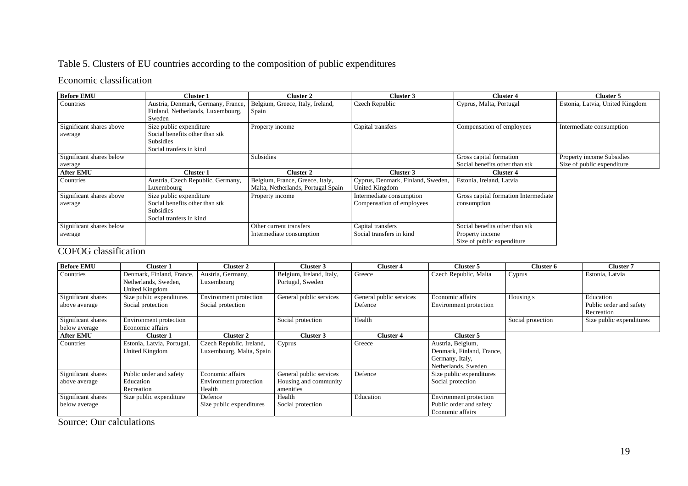### Table 5. Clusters of EU countries according to the composition of public expenditures

#### Economic classification

| <b>Before EMU</b>        | <b>Cluster 1</b>                   | <b>Cluster 2</b>                   | <b>Cluster 3</b>                  | <b>Cluster 4</b>                     | <b>Cluster 5</b>                |
|--------------------------|------------------------------------|------------------------------------|-----------------------------------|--------------------------------------|---------------------------------|
| Countries                | Austria, Denmark, Germany, France, | Belgium, Greece, Italy, Ireland,   | Czech Republic                    | Cyprus, Malta, Portugal              | Estonia, Latvia, United Kingdom |
|                          | Finland, Netherlands, Luxembourg,  | Spain                              |                                   |                                      |                                 |
|                          | Sweden                             |                                    |                                   |                                      |                                 |
| Significant shares above | Size public expenditure            | Property income                    | Capital transfers                 | Compensation of employees            | Intermediate consumption        |
| average                  | Social benefits other than stk     |                                    |                                   |                                      |                                 |
|                          | <b>Subsidies</b>                   |                                    |                                   |                                      |                                 |
|                          | Social tranfers in kind            |                                    |                                   |                                      |                                 |
| Significant shares below |                                    | <b>Subsidies</b>                   |                                   | Gross capital formation              | Property income Subsidies       |
| average                  |                                    |                                    |                                   | Social benefits other than stk       | Size of public expenditure      |
|                          |                                    |                                    |                                   |                                      |                                 |
| <b>After EMU</b>         | <b>Cluster 1</b>                   | <b>Cluster 2</b>                   | <b>Cluster 3</b>                  | <b>Cluster 4</b>                     |                                 |
| Countries                | Austria, Czech Republic, Germany,  | Belgium, France, Greece, Italy,    | Cyprus, Denmark, Finland, Sweden, | Estonia, Ireland, Latvia             |                                 |
|                          | Luxembourg                         | Malta, Netherlands, Portugal Spain | United Kingdom                    |                                      |                                 |
| Significant shares above | Size public expenditure            | Property income                    | Intermediate consumption          | Gross capital formation Intermediate |                                 |
| average                  | Social benefits other than stk     |                                    | Compensation of employees         | consumption                          |                                 |
|                          | Subsidies                          |                                    |                                   |                                      |                                 |
|                          | Social tranfers in kind            |                                    |                                   |                                      |                                 |
| Significant shares below |                                    | Other current transfers            | Capital transfers                 | Social benefits other than stk       |                                 |
| average                  |                                    | Intermediate consumption           | Social transfers in kind          | Property income                      |                                 |

#### COFOG classification

| <b>Before EMU</b>  | <b>Cluster 1</b>           | <b>Cluster 2</b>         | <b>Cluster 3</b>         | Cluster 4               | Cluster 5                 | Cluster 6         | <b>Cluster 7</b>         |
|--------------------|----------------------------|--------------------------|--------------------------|-------------------------|---------------------------|-------------------|--------------------------|
| Countries          | Denmark, Finland, France,  | Austria, Germany,        | Belgium, Ireland, Italy, | Greece                  | Czech Republic, Malta     | Cyprus            | Estonia, Latvia          |
|                    | Netherlands, Sweden,       | Luxembourg               | Portugal, Sweden         |                         |                           |                   |                          |
|                    | United Kingdom             |                          |                          |                         |                           |                   |                          |
| Significant shares | Size public expenditures   | Environment protection   | General public services  | General public services | Economic affairs          | Housing s         | Education                |
| above average      | Social protection          | Social protection        |                          | Defence                 | Environment protection    |                   | Public order and safety  |
|                    |                            |                          |                          |                         |                           |                   | Recreation               |
| Significant shares | Environment protection     |                          | Social protection        | Health                  |                           | Social protection | Size public expenditures |
| below average      | Economic affairs           |                          |                          |                         |                           |                   |                          |
| <b>After EMU</b>   | <b>Cluster 1</b>           | <b>Cluster 2</b>         | <b>Cluster 3</b>         | <b>Cluster 4</b>        | <b>Cluster 5</b>          |                   |                          |
| Countries          | Estonia, Latvia, Portugal, | Czech Republic, Ireland, | Cyprus                   | Greece                  | Austria, Belgium,         |                   |                          |
|                    | United Kingdom             | Luxembourg, Malta, Spain |                          |                         | Denmark, Finland, France, |                   |                          |
|                    |                            |                          |                          |                         | Germany, Italy,           |                   |                          |
|                    |                            |                          |                          |                         | Netherlands, Sweden       |                   |                          |
| Significant shares | Public order and safety    | Economic affairs         | General public services  | Defence                 | Size public expenditures  |                   |                          |
| above average      | Education                  | Environment protection   | Housing and community    |                         | Social protection         |                   |                          |
|                    | Recreation                 | Health                   | amenities                |                         |                           |                   |                          |
| Significant shares | Size public expenditure    | Defence                  | Health                   | Education               | Environment protection    |                   |                          |
| below average      |                            | Size public expenditures | Social protection        |                         | Public order and safety   |                   |                          |
|                    |                            |                          |                          |                         | Economic affairs          |                   |                          |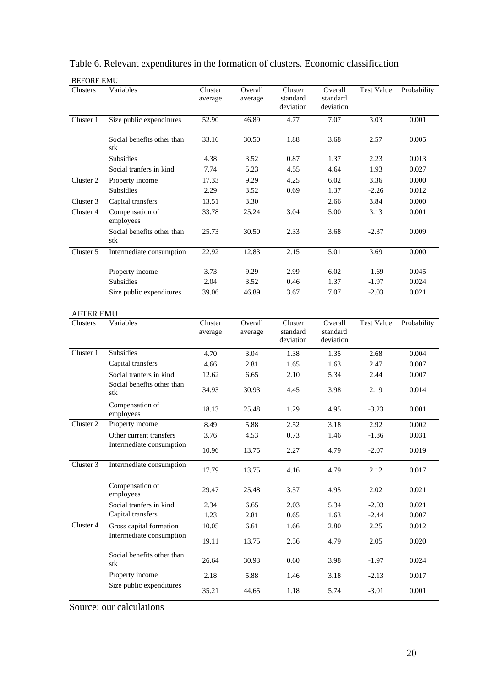| Clusters  | Variables                         | Cluster<br>average | Overall<br>average | Cluster<br>standard<br>deviation | Overall<br>standard<br>deviation | <b>Test Value</b> | Probability |
|-----------|-----------------------------------|--------------------|--------------------|----------------------------------|----------------------------------|-------------------|-------------|
| Cluster 1 | Size public expenditures          | 52.90              | 46.89              | 4.77                             | 7.07                             | 3.03              | 0.001       |
|           | Social benefits other than<br>stk | 33.16              | 30.50              | 1.88                             | 3.68                             | 2.57              | 0.005       |
|           | Subsidies                         | 4.38               | 3.52               | 0.87                             | 1.37                             | 2.23              | 0.013       |
|           | Social tranfers in kind           | 7.74               | 5.23               | 4.55                             | 4.64                             | 1.93              | 0.027       |
| Cluster 2 | Property income                   | 17.33              | 9.29               | 4.25                             | 6.02                             | 3.36              | 0.000       |
|           | <b>Subsidies</b>                  | 2.29               | 3.52               | 0.69                             | 1.37                             | $-2.26$           | 0.012       |
| Cluster 3 | Capital transfers                 | 13.51              | 3.30               |                                  | 2.66                             | 3.84              | 0.000       |
| Cluster 4 | Compensation of<br>employees      | 33.78              | 25.24              | 3.04                             | 5.00                             | 3.13              | 0.001       |
|           | Social benefits other than<br>stk | 25.73              | 30.50              | 2.33                             | 3.68                             | $-2.37$           | 0.009       |
| Cluster 5 | Intermediate consumption          | 22.92              | 12.83              | 2.15                             | 5.01                             | 3.69              | 0.000       |
|           | Property income                   | 3.73               | 9.29               | 2.99                             | 6.02                             | $-1.69$           | 0.045       |
|           | <b>Subsidies</b>                  | 2.04               | 3.52               | 0.46                             | 1.37                             | $-1.97$           | 0.024       |
|           | Size public expenditures          | 39.06              | 46.89              | 3.67                             | 7.07                             | $-2.03$           | 0.021       |

# Table 6. Relevant expenditures in the formation of clusters. Economic classification

### AFTER EMU

| Clusters  | Variables                         | Cluster<br>average | Overall<br>average | Cluster<br>standard<br>deviation | Overall<br>standard<br>deviation | <b>Test Value</b> | Probability |
|-----------|-----------------------------------|--------------------|--------------------|----------------------------------|----------------------------------|-------------------|-------------|
| Cluster 1 | <b>Subsidies</b>                  | 4.70               | 3.04               | 1.38                             | 1.35                             | 2.68              | 0.004       |
|           | Capital transfers                 | 4.66               | 2.81               | 1.65                             | 1.63                             | 2.47              | 0.007       |
|           | Social tranfers in kind           | 12.62              | 6.65               | 2.10                             | 5.34                             | 2.44              | 0.007       |
|           | Social benefits other than<br>stk | 34.93              | 30.93              | 4.45                             | 3.98                             | 2.19              | 0.014       |
|           | Compensation of<br>employees      | 18.13              | 25.48              | 1.29                             | 4.95                             | $-3.23$           | 0.001       |
| Cluster 2 | Property income                   | 8.49               | 5.88               | 2.52                             | 3.18                             | 2.92              | 0.002       |
|           | Other current transfers           | 3.76               | 4.53               | 0.73                             | 1.46                             | $-1.86$           | 0.031       |
|           | Intermediate consumption          | 10.96              | 13.75              | 2.27                             | 4.79                             | $-2.07$           | 0.019       |
| Cluster 3 | Intermediate consumption          | 17.79              | 13.75              | 4.16                             | 4.79                             | 2.12              | 0.017       |
|           | Compensation of<br>employees      | 29.47              | 25.48              | 3.57                             | 4.95                             | 2.02              | 0.021       |
|           | Social tranfers in kind           | 2.34               | 6.65               | 2.03                             | 5.34                             | $-2.03$           | 0.021       |
|           | Capital transfers                 | 1.23               | 2.81               | 0.65                             | 1.63                             | $-2.44$           | 0.007       |
| Cluster 4 | Gross capital formation           | 10.05              | 6.61               | 1.66                             | 2.80                             | 2.25              | 0.012       |
|           | Intermediate consumption          | 19.11              | 13.75              | 2.56                             | 4.79                             | 2.05              | 0.020       |
|           | Social benefits other than<br>stk | 26.64              | 30.93              | 0.60                             | 3.98                             | $-1.97$           | 0.024       |
|           | Property income                   | 2.18               | 5.88               | 1.46                             | 3.18                             | $-2.13$           | 0.017       |
|           | Size public expenditures          | 35.21              | 44.65              | 1.18                             | 5.74                             | $-3.01$           | 0.001       |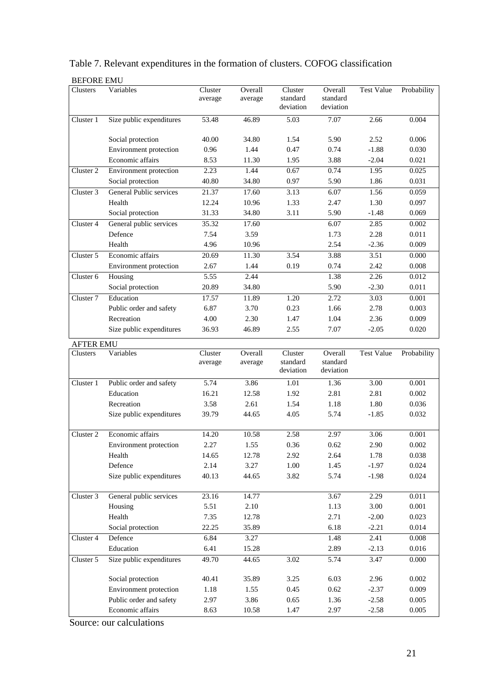| <b>BEFORE EMU</b>    |                                     |                    |                    |                                  |                                  |                    |                |
|----------------------|-------------------------------------|--------------------|--------------------|----------------------------------|----------------------------------|--------------------|----------------|
| Clusters             | Variables                           | Cluster<br>average | Overall<br>average | Cluster<br>standard<br>deviation | Overall<br>standard<br>deviation | <b>Test Value</b>  | Probability    |
| Cluster 1            | Size public expenditures            | 53.48              | 46.89              | 5.03                             | 7.07                             | 2.66               | 0.004          |
|                      | Social protection                   | 40.00              | 34.80              | 1.54                             | 5.90                             | 2.52               | 0.006          |
|                      | Environment protection              | 0.96               | 1.44               | 0.47                             | 0.74                             | $-1.88$            | 0.030          |
|                      | Economic affairs                    | 8.53               | 11.30              | 1.95                             | 3.88                             | $-2.04$            | 0.021          |
| Cluster 2            | Environment protection              | 2.23               | 1.44               | 0.67                             | 0.74                             | 1.95               | 0.025          |
|                      | Social protection                   | 40.80              | 34.80              | 0.97                             | 5.90                             | 1.86               | 0.031          |
| Cluster 3            | General Public services             | 21.37              | 17.60              | 3.13                             | 6.07                             | 1.56               | 0.059          |
|                      | Health                              | 12.24              | 10.96              | 1.33                             | 2.47                             | 1.30               | 0.097          |
|                      | Social protection                   | 31.33              | 34.80              | 3.11                             | 5.90                             | $-1.48$            | 0.069          |
| Cluster 4            | General public services             | 35.32              | 17.60              |                                  | 6.07                             | 2.85               | 0.002          |
|                      | Defence                             | 7.54               | 3.59               |                                  | 1.73                             | 2.28               | 0.011          |
|                      | Health                              | 4.96               | 10.96              |                                  | 2.54                             | $-2.36$            | 0.009          |
| Cluster 5            | Economic affairs                    | 20.69              | 11.30              | 3.54                             | 3.88                             | 3.51               | 0.000          |
|                      | Environment protection              | 2.67               | 1.44               | 0.19                             | 0.74                             | 2.42               | 0.008          |
| Cluster <sub>6</sub> | Housing                             | 5.55               | 2.44               |                                  | 1.38                             | 2.26               | 0.012          |
|                      | Social protection                   | 20.89              | 34.80              |                                  | 5.90                             | $-2.30$            | 0.011          |
| Cluster 7            | Education                           | 17.57              | 11.89              | 1.20                             | 2.72                             | 3.03               | 0.001          |
|                      | Public order and safety             | 6.87               | 3.70               | 0.23                             | 1.66                             | 2.78               | 0.003          |
|                      | Recreation                          | 4.00               | 2.30               | 1.47                             | 1.04                             | 2.36               | 0.009          |
|                      | Size public expenditures            | 36.93              | 46.89              | 2.55                             | 7.07                             | $-2.05$            | 0.020          |
| <b>AFTER EMU</b>     |                                     |                    |                    |                                  |                                  |                    |                |
|                      |                                     |                    |                    |                                  |                                  |                    |                |
| Clusters             | Variables                           | Cluster<br>average | Overall<br>average | Cluster<br>standard              | Overall<br>standard              | <b>Test Value</b>  | Probability    |
|                      |                                     |                    |                    | deviation                        | deviation                        |                    |                |
| Cluster 1            | Public order and safety             | 5.74               | 3.86               | 1.01                             | 1.36                             | 3.00               | 0.001          |
|                      | Education                           | 16.21              | 12.58              | 1.92                             | 2.81                             | 2.81               | 0.002          |
|                      | Recreation                          | 3.58               | 2.61               | 1.54                             | 1.18                             | 1.80               | 0.036          |
|                      | Size public expenditures            | 39.79              | 44.65              | 4.05                             | 5.74                             | $-1.85$            | 0.032          |
|                      |                                     |                    |                    |                                  |                                  |                    |                |
| Cluster $2$          | Economic affairs                    | 14.20              | 10.58              | 2.58                             | 2.97                             | 3.06               | 0.001          |
|                      | Environment protection              | 2.27               | 1.55               | 0.36                             | 0.62                             | 2.90               | 0.002          |
|                      | Health                              | 14.65              | 12.78              | 2.92                             | 2.64                             | 1.78               | 0.038          |
|                      | Defence<br>Size public expenditures | 2.14<br>40.13      | 3.27<br>44.65      | 1.00<br>3.82                     | 1.45<br>5.74                     | $-1.97$<br>$-1.98$ | 0.024<br>0.024 |
| Cluster 3            | General public services             | 23.16              | 14.77              |                                  | 3.67                             | 2.29               | 0.011          |
|                      | Housing                             | 5.51               | 2.10               |                                  | 1.13                             | 3.00               | 0.001          |
|                      | Health                              | 7.35               | 12.78              |                                  | 2.71                             | $-2.00$            | 0.023          |
|                      | Social protection                   | 22.25              | 35.89              |                                  | 6.18                             | $-2.21$            | 0.014          |
| Cluster 4            | Defence                             | 6.84               | 3.27               |                                  | 1.48                             | 2.41               | 0.008          |
|                      | Education                           | 6.41               | 15.28              |                                  | 2.89                             | $-2.13$            | 0.016          |
| Cluster 5            | Size public expenditures            | 49.70              | 44.65              | 3.02                             | 5.74                             | 3.47               | 0.000          |
|                      | Social protection                   | 40.41              | 35.89              | 3.25                             | 6.03                             | 2.96               | 0.002          |
|                      | Environment protection              | 1.18               | 1.55               | 0.45                             | 0.62                             | $-2.37$            | 0.009          |
|                      | Public order and safety             | 2.97               | 3.86               | 0.65                             | 1.36                             | $-2.58$            | 0.005          |
|                      |                                     |                    |                    |                                  |                                  |                    |                |
|                      |                                     |                    |                    |                                  |                                  |                    |                |
|                      |                                     |                    |                    |                                  |                                  |                    |                |
|                      |                                     |                    |                    |                                  |                                  |                    |                |
|                      |                                     |                    |                    |                                  |                                  |                    |                |
|                      | Economic affairs                    | 8.63               | 10.58              | 1.47                             | 2.97                             | $-2.58$            | 0.005          |

Table 7. Relevant expenditures in the formation of clusters. COFOG classification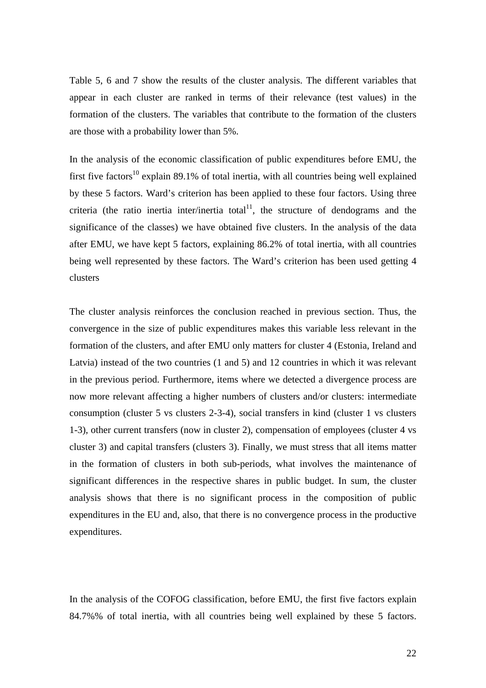Table 5, 6 and 7 show the results of the cluster analysis. The different variables that appear in each cluster are ranked in terms of their relevance (test values) in the formation of the clusters. The variables that contribute to the formation of the clusters are those with a probability lower than 5%.

In the analysis of the economic classification of public expenditures before EMU, the first five factors<sup>10</sup> explain 89.1% of total inertia, with all countries being well explained by these 5 factors. Ward's criterion has been applied to these four factors. Using three criteria (the ratio inertia inter/inertia total $11$ , the structure of dendograms and the significance of the classes) we have obtained five clusters. In the analysis of the data after EMU, we have kept 5 factors, explaining 86.2% of total inertia, with all countries being well represented by these factors. The Ward's criterion has been used getting 4 clusters

The cluster analysis reinforces the conclusion reached in previous section. Thus, the convergence in the size of public expenditures makes this variable less relevant in the formation of the clusters, and after EMU only matters for cluster 4 (Estonia, Ireland and Latvia) instead of the two countries (1 and 5) and 12 countries in which it was relevant in the previous period. Furthermore, items where we detected a divergence process are now more relevant affecting a higher numbers of clusters and/or clusters: intermediate consumption (cluster 5 vs clusters 2-3-4), social transfers in kind (cluster 1 vs clusters 1-3), other current transfers (now in cluster 2), compensation of employees (cluster 4 vs cluster 3) and capital transfers (clusters 3). Finally, we must stress that all items matter in the formation of clusters in both sub-periods, what involves the maintenance of significant differences in the respective shares in public budget. In sum, the cluster analysis shows that there is no significant process in the composition of public expenditures in the EU and, also, that there is no convergence process in the productive expenditures.

In the analysis of the COFOG classification, before EMU, the first five factors explain 84.7%% of total inertia, with all countries being well explained by these 5 factors.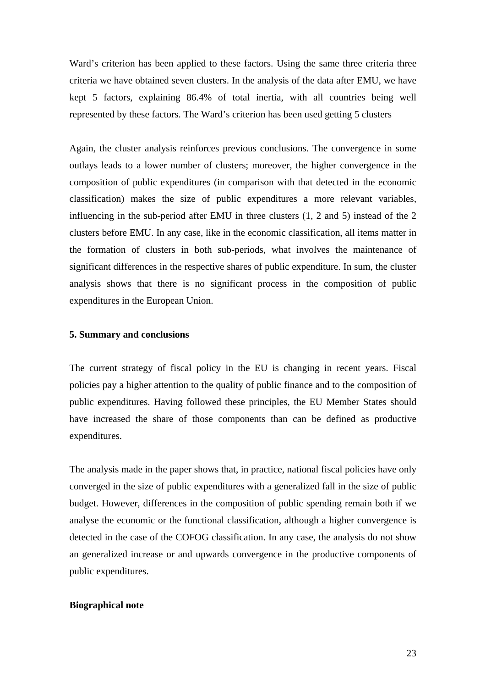Ward's criterion has been applied to these factors. Using the same three criteria three criteria we have obtained seven clusters. In the analysis of the data after EMU, we have kept 5 factors, explaining 86.4% of total inertia, with all countries being well represented by these factors. The Ward's criterion has been used getting 5 clusters

Again, the cluster analysis reinforces previous conclusions. The convergence in some outlays leads to a lower number of clusters; moreover, the higher convergence in the composition of public expenditures (in comparison with that detected in the economic classification) makes the size of public expenditures a more relevant variables, influencing in the sub-period after EMU in three clusters (1, 2 and 5) instead of the 2 clusters before EMU. In any case, like in the economic classification, all items matter in the formation of clusters in both sub-periods, what involves the maintenance of significant differences in the respective shares of public expenditure. In sum, the cluster analysis shows that there is no significant process in the composition of public expenditures in the European Union.

#### **5. Summary and conclusions**

The current strategy of fiscal policy in the EU is changing in recent years. Fiscal policies pay a higher attention to the quality of public finance and to the composition of public expenditures. Having followed these principles, the EU Member States should have increased the share of those components than can be defined as productive expenditures.

The analysis made in the paper shows that, in practice, national fiscal policies have only converged in the size of public expenditures with a generalized fall in the size of public budget. However, differences in the composition of public spending remain both if we analyse the economic or the functional classification, although a higher convergence is detected in the case of the COFOG classification. In any case, the analysis do not show an generalized increase or and upwards convergence in the productive components of public expenditures.

#### **Biographical note**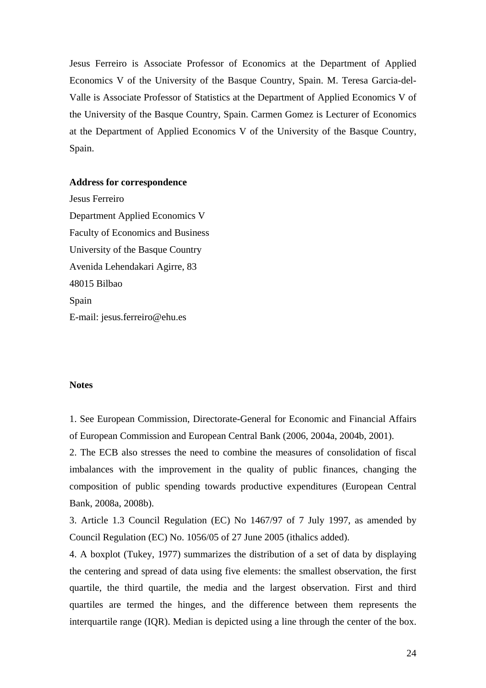Jesus Ferreiro is Associate Professor of Economics at the Department of Applied Economics V of the University of the Basque Country, Spain. M. Teresa Garcia-del-Valle is Associate Professor of Statistics at the Department of Applied Economics V of the University of the Basque Country, Spain. Carmen Gomez is Lecturer of Economics at the Department of Applied Economics V of the University of the Basque Country, Spain.

#### **Address for correspondence**

Jesus Ferreiro Department Applied Economics V Faculty of Economics and Business University of the Basque Country Avenida Lehendakari Agirre, 83 48015 Bilbao Spain E-mail: jesus.ferreiro@ehu.es

#### **Notes**

1. See European Commission, Directorate-General for Economic and Financial Affairs of European Commission and European Central Bank (2006, 2004a, 2004b, 2001).

2. The ECB also stresses the need to combine the measures of consolidation of fiscal imbalances with the improvement in the quality of public finances, changing the composition of public spending towards productive expenditures (European Central Bank, 2008a, 2008b).

3. Article 1.3 Council Regulation (EC) No 1467/97 of 7 July 1997, as amended by Council Regulation (EC) No. 1056/05 of 27 June 2005 (ithalics added).

4. A boxplot (Tukey, 1977) summarizes the distribution of a set of data by displaying the centering and spread of data using five elements: the smallest observation, the first quartile, the third quartile, the media and the largest observation. First and third quartiles are termed the hinges, and the difference between them represents the interquartile range (IQR). Median is depicted using a line through the center of the box.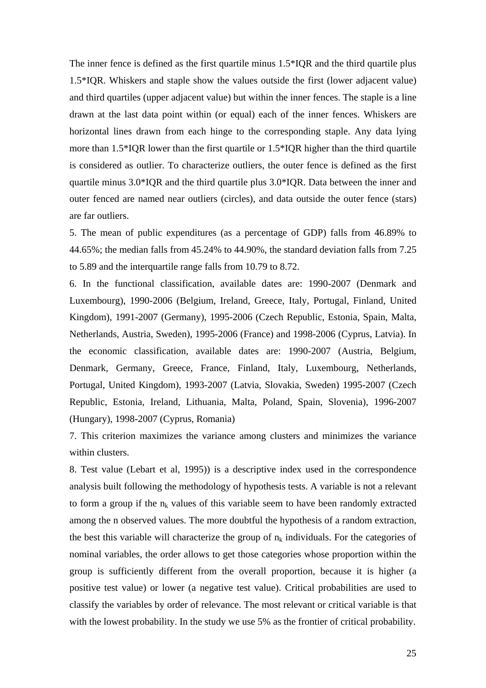The inner fence is defined as the first quartile minus 1.5\*IQR and the third quartile plus 1.5\*IQR. Whiskers and staple show the values outside the first (lower adjacent value) and third quartiles (upper adjacent value) but within the inner fences. The staple is a line drawn at the last data point within (or equal) each of the inner fences. Whiskers are horizontal lines drawn from each hinge to the corresponding staple. Any data lying more than 1.5\*IQR lower than the first quartile or 1.5\*IQR higher than the third quartile is considered as outlier. To characterize outliers, the outer fence is defined as the first quartile minus 3.0\*IQR and the third quartile plus 3.0\*IQR. Data between the inner and outer fenced are named near outliers (circles), and data outside the outer fence (stars) are far outliers.

5. The mean of public expenditures (as a percentage of GDP) falls from 46.89% to 44.65%; the median falls from 45.24% to 44.90%, the standard deviation falls from 7.25 to 5.89 and the interquartile range falls from 10.79 to 8.72.

6. In the functional classification, available dates are: 1990-2007 (Denmark and Luxembourg), 1990-2006 (Belgium, Ireland, Greece, Italy, Portugal, Finland, United Kingdom), 1991-2007 (Germany), 1995-2006 (Czech Republic, Estonia, Spain, Malta, Netherlands, Austria, Sweden), 1995-2006 (France) and 1998-2006 (Cyprus, Latvia). In the economic classification, available dates are: 1990-2007 (Austria, Belgium, Denmark, Germany, Greece, France, Finland, Italy, Luxembourg, Netherlands, Portugal, United Kingdom), 1993-2007 (Latvia, Slovakia, Sweden) 1995-2007 (Czech Republic, Estonia, Ireland, Lithuania, Malta, Poland, Spain, Slovenia), 1996-2007 (Hungary), 1998-2007 (Cyprus, Romania)

7. This criterion maximizes the variance among clusters and minimizes the variance within clusters.

8. Test value (Lebart et al, 1995)) is a descriptive index used in the correspondence analysis built following the methodology of hypothesis tests. A variable is not a relevant to form a group if the  $n_k$  values of this variable seem to have been randomly extracted among the n observed values. The more doubtful the hypothesis of a random extraction, the best this variable will characterize the group of  $n_k$  individuals. For the categories of nominal variables, the order allows to get those categories whose proportion within the group is sufficiently different from the overall proportion, because it is higher (a positive test value) or lower (a negative test value). Critical probabilities are used to classify the variables by order of relevance. The most relevant or critical variable is that with the lowest probability. In the study we use 5% as the frontier of critical probability.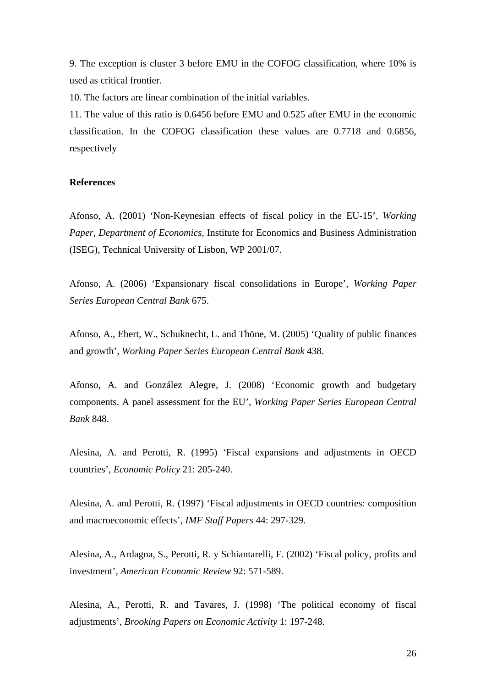9. The exception is cluster 3 before EMU in the COFOG classification, where 10% is used as critical frontier.

10. The factors are linear combination of the initial variables.

11. The value of this ratio is 0.6456 before EMU and 0.525 after EMU in the economic classification. In the COFOG classification these values are 0.7718 and 0.6856, respectively

#### **References**

Afonso, A. (2001) 'Non-Keynesian effects of fiscal policy in the EU-15', *Working Paper, Department of Economics*, Institute for Economics and Business Administration (ISEG), Technical University of Lisbon, WP 2001/07.

Afonso, A. (2006) 'Expansionary fiscal consolidations in Europe', *Working Paper Series European Central Bank* 675.

Afonso, A., Ebert, W., Schuknecht, L. and Thöne, M. (2005) 'Quality of public finances and growth', *Working Paper Series European Central Bank* 438.

Afonso, A. and González Alegre, J. (2008) 'Economic growth and budgetary components. A panel assessment for the EU', *Working Paper Series European Central Bank* 848.

Alesina, A. and Perotti, R. (1995) 'Fiscal expansions and adjustments in OECD countries', *Economic Policy* 21: 205-240.

Alesina, A. and Perotti, R. (1997) 'Fiscal adjustments in OECD countries: composition and macroeconomic effects', *IMF Staff Papers* 44: 297-329.

Alesina, A., Ardagna, S., Perotti, R. y Schiantarelli, F. (2002) 'Fiscal policy, profits and investment', *American Economic Review* 92: 571-589.

Alesina, A., Perotti, R. and Tavares, J. (1998) 'The political economy of fiscal adjustments', *Brooking Papers on Economic Activity* 1: 197-248.

26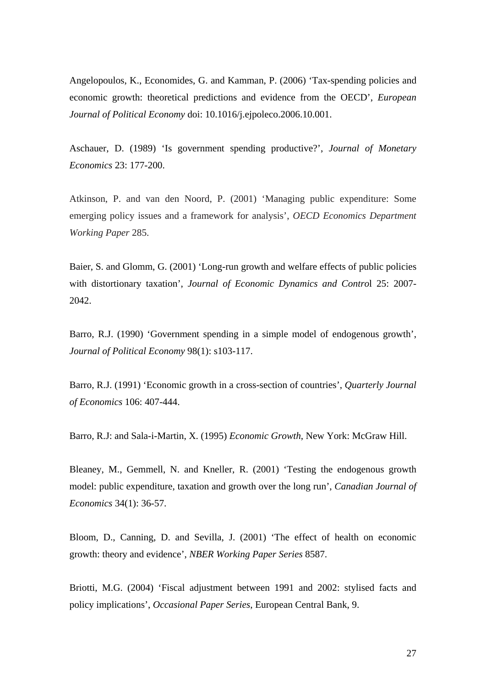Angelopoulos, K., Economides, G. and Kamman, P. (2006) 'Tax-spending policies and economic growth: theoretical predictions and evidence from the OECD', *European Journal of Political Economy* doi: 10.1016/j.ejpoleco.2006.10.001.

Aschauer, D. (1989) 'Is government spending productive?', *Journal of Monetary Economics* 23: 177-200.

Atkinson, P. and van den Noord, P. (2001) 'Managing public expenditure: Some emerging policy issues and a framework for analysis', *OECD Economics Department Working Paper* 285.

Baier, S. and Glomm, G. (2001) 'Long-run growth and welfare effects of public policies with distortionary taxation', *Journal of Economic Dynamics and Contro*l 25: 2007- 2042.

Barro, R.J. (1990) 'Government spending in a simple model of endogenous growth', *Journal of Political Economy* 98(1): s103-117.

Barro, R.J. (1991) 'Economic growth in a cross-section of countries', *Quarterly Journal of Economics* 106: 407-444.

Barro, R.J: and Sala-i-Martin, X. (1995) *Economic Growth*, New York: McGraw Hill.

Bleaney, M., Gemmell, N. and Kneller, R. (2001) 'Testing the endogenous growth model: public expenditure, taxation and growth over the long run', *Canadian Journal of Economics* 34(1): 36-57.

Bloom, D., Canning, D. and Sevilla, J. (2001) 'The effect of health on economic growth: theory and evidence', *NBER Working Paper Series* 8587.

Briotti, M.G. (2004) 'Fiscal adjustment between 1991 and 2002: stylised facts and policy implications', *Occasional Paper Series*, European Central Bank, 9.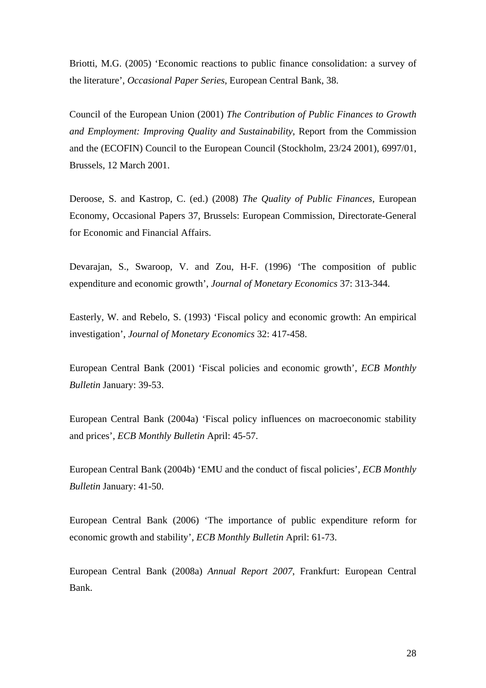Briotti, M.G. (2005) 'Economic reactions to public finance consolidation: a survey of the literature', *Occasional Paper Series*, European Central Bank, 38.

Council of the European Union (2001) *The Contribution of Public Finances to Growth and Employment: Improving Quality and Sustainability*, Report from the Commission and the (ECOFIN) Council to the European Council (Stockholm, 23/24 2001), 6997/01, Brussels, 12 March 2001.

Deroose, S. and Kastrop, C. (ed.) (2008) *The Quality of Public Finances*, European Economy, Occasional Papers 37, Brussels: European Commission, Directorate-General for Economic and Financial Affairs.

Devarajan, S., Swaroop, V. and Zou, H-F. (1996) 'The composition of public expenditure and economic growth', *Journal of Monetary Economics* 37: 313-344.

Easterly, W. and Rebelo, S. (1993) 'Fiscal policy and economic growth: An empirical investigation', *Journal of Monetary Economics* 32: 417-458.

European Central Bank (2001) 'Fiscal policies and economic growth', *ECB Monthly Bulletin* January: 39-53.

European Central Bank (2004a) 'Fiscal policy influences on macroeconomic stability and prices', *ECB Monthly Bulletin* April: 45-57.

European Central Bank (2004b) 'EMU and the conduct of fiscal policies', *ECB Monthly Bulletin* January: 41-50.

European Central Bank (2006) 'The importance of public expenditure reform for economic growth and stability', *ECB Monthly Bulletin* April: 61-73.

European Central Bank (2008a) *Annual Report 2007*, Frankfurt: European Central Bank.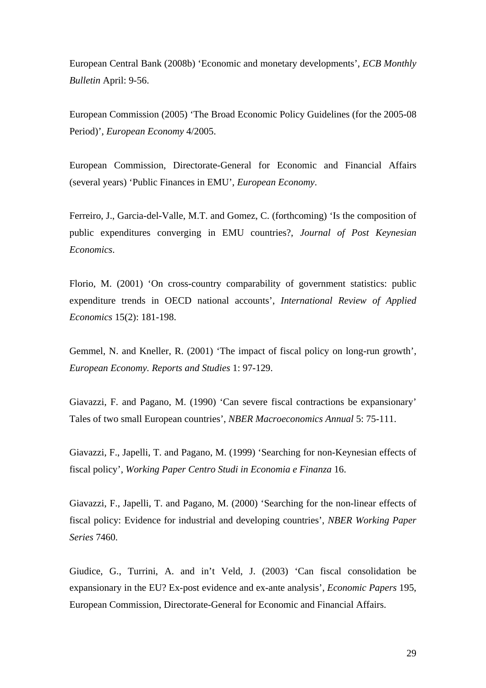European Central Bank (2008b) 'Economic and monetary developments', *ECB Monthly Bulletin* April: 9-56.

European Commission (2005) 'The Broad Economic Policy Guidelines (for the 2005-08 Period)', *European Economy* 4/2005.

European Commission, Directorate-General for Economic and Financial Affairs (several years) 'Public Finances in EMU', *European Economy*.

Ferreiro, J., Garcia-del-Valle, M.T. and Gomez, C. (forthcoming) 'Is the composition of public expenditures converging in EMU countries?, *Journal of Post Keynesian Economics*.

Florio, M. (2001) 'On cross-country comparability of government statistics: public expenditure trends in OECD national accounts', *International Review of Applied Economics* 15(2): 181-198.

Gemmel, N. and Kneller, R. (2001) 'The impact of fiscal policy on long-run growth', *European Economy. Reports and Studies* 1: 97-129.

Giavazzi, F. and Pagano, M. (1990) 'Can severe fiscal contractions be expansionary' Tales of two small European countries', *NBER Macroeconomics Annual* 5: 75-111.

Giavazzi, F., Japelli, T. and Pagano, M. (1999) 'Searching for non-Keynesian effects of fiscal policy', *Working Paper Centro Studi in Economia e Finanza* 16.

Giavazzi, F., Japelli, T. and Pagano, M. (2000) 'Searching for the non-linear effects of fiscal policy: Evidence for industrial and developing countries', *NBER Working Paper Series* 7460.

Giudice, G., Turrini, A. and in't Veld, J. (2003) 'Can fiscal consolidation be expansionary in the EU? Ex-post evidence and ex-ante analysis', *Economic Papers* 195, European Commission, Directorate-General for Economic and Financial Affairs.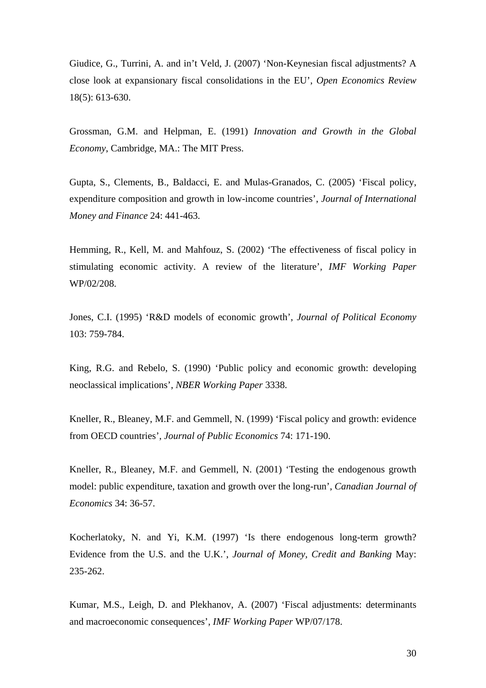Giudice, G., Turrini, A. and in't Veld, J. (2007) 'Non-Keynesian fiscal adjustments? A close look at expansionary fiscal consolidations in the EU', *Open Economics Review* 18(5): 613-630.

Grossman, G.M. and Helpman, E. (1991) *Innovation and Growth in the Global Economy*, Cambridge, MA.: The MIT Press.

Gupta, S., Clements, B., Baldacci, E. and Mulas-Granados, C. (2005) 'Fiscal policy, expenditure composition and growth in low-income countries', *Journal of International Money and Finance* 24: 441-463.

Hemming, R., Kell, M. and Mahfouz, S. (2002) 'The effectiveness of fiscal policy in stimulating economic activity. A review of the literature', *IMF Working Paper* WP/02/208.

Jones, C.I. (1995) 'R&D models of economic growth', *Journal of Political Economy* 103: 759-784.

King, R.G. and Rebelo, S. (1990) 'Public policy and economic growth: developing neoclassical implications', *NBER Working Paper* 3338.

Kneller, R., Bleaney, M.F. and Gemmell, N. (1999) 'Fiscal policy and growth: evidence from OECD countries', *Journal of Public Economics* 74: 171-190.

Kneller, R., Bleaney, M.F. and Gemmell, N. (2001) 'Testing the endogenous growth model: public expenditure, taxation and growth over the long-run', *Canadian Journal of Economics* 34: 36-57.

Kocherlatoky, N. and Yi, K.M. (1997) 'Is there endogenous long-term growth? Evidence from the U.S. and the U.K.', *Journal of Money, Credit and Banking* May: 235-262.

Kumar, M.S., Leigh, D. and Plekhanov, A. (2007) 'Fiscal adjustments: determinants and macroeconomic consequences', *IMF Working Paper* WP/07/178.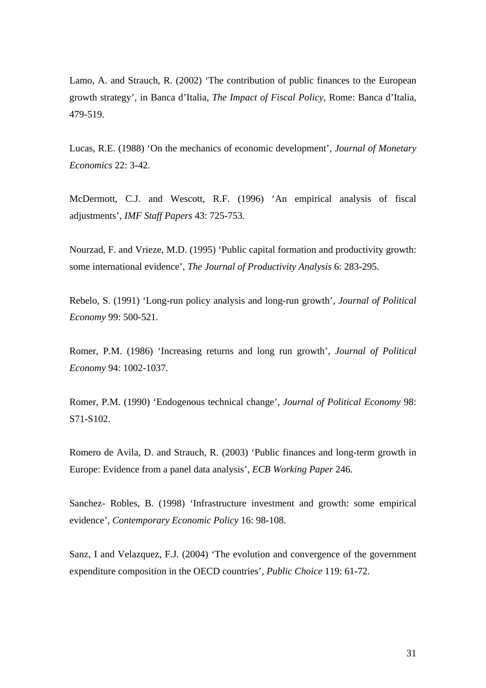Lamo, A. and Strauch, R. (2002) 'The contribution of public finances to the European growth strategy', in Banca d'Italia, *The Impact of Fiscal Policy*, Rome: Banca d'Italia, 479-519.

Lucas, R.E. (1988) 'On the mechanics of economic development', *Journal of Monetary Economics* 22: 3-42.

McDermott, C.J. and Wescott, R.F. (1996) 'An empirical analysis of fiscal adjustments', *IMF Staff Papers* 43: 725-753.

Nourzad, F. and Vrieze, M.D. (1995) 'Public capital formation and productivity growth: some international evidence', *The Journal of Productivity Analysis* 6: 283-295.

Rebelo, S. (1991) 'Long-run policy analysis and long-run growth', *Journal of Political Economy* 99: 500-521.

Romer, P.M. (1986) 'Increasing returns and long run growth', *Journal of Political Economy* 94: 1002-1037.

Romer, P.M. (1990) 'Endogenous technical change', *Journal of Political Economy* 98: S71-S102.

Romero de Avila, D. and Strauch, R. (2003) 'Public finances and long-term growth in Europe: Evidence from a panel data analysis', *ECB Working Paper* 246.

Sanchez- Robles, B. (1998) 'Infrastructure investment and growth: some empirical evidence', *Contemporary Economic Policy* 16: 98-108.

Sanz, I and Velazquez, F.J. (2004) 'The evolution and convergence of the government expenditure composition in the OECD countries', *Public Choice* 119: 61-72.